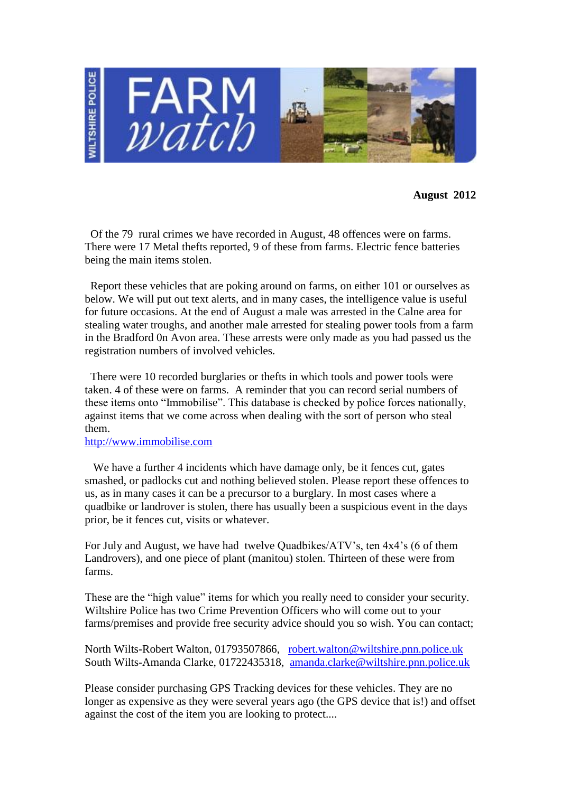

**August 2012**

 Of the 79 rural crimes we have recorded in August, 48 offences were on farms. There were 17 Metal thefts reported, 9 of these from farms. Electric fence batteries being the main items stolen.

 Report these vehicles that are poking around on farms, on either 101 or ourselves as below. We will put out text alerts, and in many cases, the intelligence value is useful for future occasions. At the end of August a male was arrested in the Calne area for stealing water troughs, and another male arrested for stealing power tools from a farm in the Bradford 0n Avon area. These arrests were only made as you had passed us the registration numbers of involved vehicles.

 There were 10 recorded burglaries or thefts in which tools and power tools were taken. 4 of these were on farms. A reminder that you can record serial numbers of these items onto "Immobilise". This database is checked by police forces nationally, against items that we come across when dealing with the sort of person who steal them.

## [http://www.immobilise.com](http://www.immobilise.com/)

We have a further 4 incidents which have damage only, be it fences cut, gates smashed, or padlocks cut and nothing believed stolen. Please report these offences to us, as in many cases it can be a precursor to a burglary. In most cases where a quadbike or landrover is stolen, there has usually been a suspicious event in the days prior, be it fences cut, visits or whatever.

For July and August, we have had twelve Quadbikes/ATV's, ten 4x4's (6 of them Landrovers), and one piece of plant (manitou) stolen. Thirteen of these were from farms.

These are the "high value" items for which you really need to consider your security. Wiltshire Police has two Crime Prevention Officers who will come out to your farms/premises and provide free security advice should you so wish. You can contact;

North Wilts-Robert Walton, 01793507866, [robert.walton@wiltshire.pnn.police.uk](mailto:robert.walton@wiltshire.pnn.police.uk) South Wilts-Amanda Clarke, 01722435318, [amanda.clarke@wiltshire.pnn.police.uk](mailto:amanda.clarke@wiltshire.pnn.police.uk)

Please consider purchasing GPS Tracking devices for these vehicles. They are no longer as expensive as they were several years ago (the GPS device that is!) and offset against the cost of the item you are looking to protect....